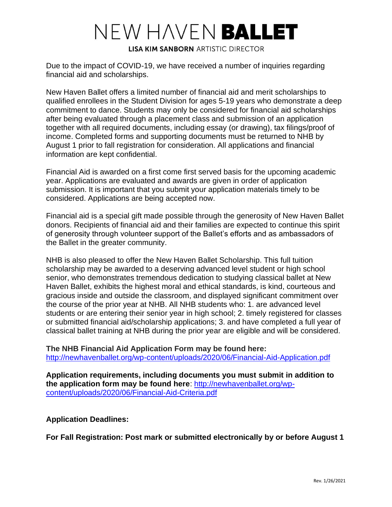# NEW HAVEN BALLET

**LISA KIM SANBORN ARTISTIC DIRECTOR** 

Due to the impact of COVID-19, we have received a number of inquiries regarding financial aid and scholarships.

New Haven Ballet offers a limited number of financial aid and merit scholarships to qualified enrollees in the Student Division for ages 5-19 years who demonstrate a deep commitment to dance. Students may only be considered for financial aid scholarships after being evaluated through a placement class and submission of an application together with all required documents, including essay (or drawing), tax filings/proof of income. Completed forms and supporting documents must be returned to NHB by August 1 prior to fall registration for consideration. All applications and financial information are kept confidential.

Financial Aid is awarded on a first come first served basis for the upcoming academic year. Applications are evaluated and awards are given in order of application submission. It is important that you submit your application materials timely to be considered. Applications are being accepted now.

Financial aid is a special gift made possible through the generosity of New Haven Ballet donors. Recipients of financial aid and their families are expected to continue this spirit of generosity through volunteer support of the Ballet's efforts and as ambassadors of the Ballet in the greater community.

NHB is also pleased to offer the New Haven Ballet Scholarship. This full tuition scholarship may be awarded to a deserving advanced level student or high school senior, who demonstrates tremendous dedication to studying classical ballet at New Haven Ballet, exhibits the highest moral and ethical standards, is kind, courteous and gracious inside and outside the classroom, and displayed significant commitment over the course of the prior year at NHB. All NHB students who: 1. are advanced level students or are entering their senior year in high school; 2. timely registered for classes or submitted financial aid/scholarship applications; 3. and have completed a full year of classical ballet training at NHB during the prior year are eligible and will be considered.

**The NHB Financial Aid Application Form may be found here:** <http://newhavenballet.org/wp-content/uploads/2020/06/Financial-Aid-Application.pdf>

**Application requirements, including documents you must submit in addition to the application form may be found here**: [http://newhavenballet.org/wp](http://newhavenballet.org/wp-content/uploads/2020/06/Financial-Aid-Criteria.pdf)[content/uploads/2020/06/Financial-Aid-Criteria.pdf](http://newhavenballet.org/wp-content/uploads/2020/06/Financial-Aid-Criteria.pdf)

### **Application Deadlines:**

**For Fall Registration: Post mark or submitted electronically by or before August 1**